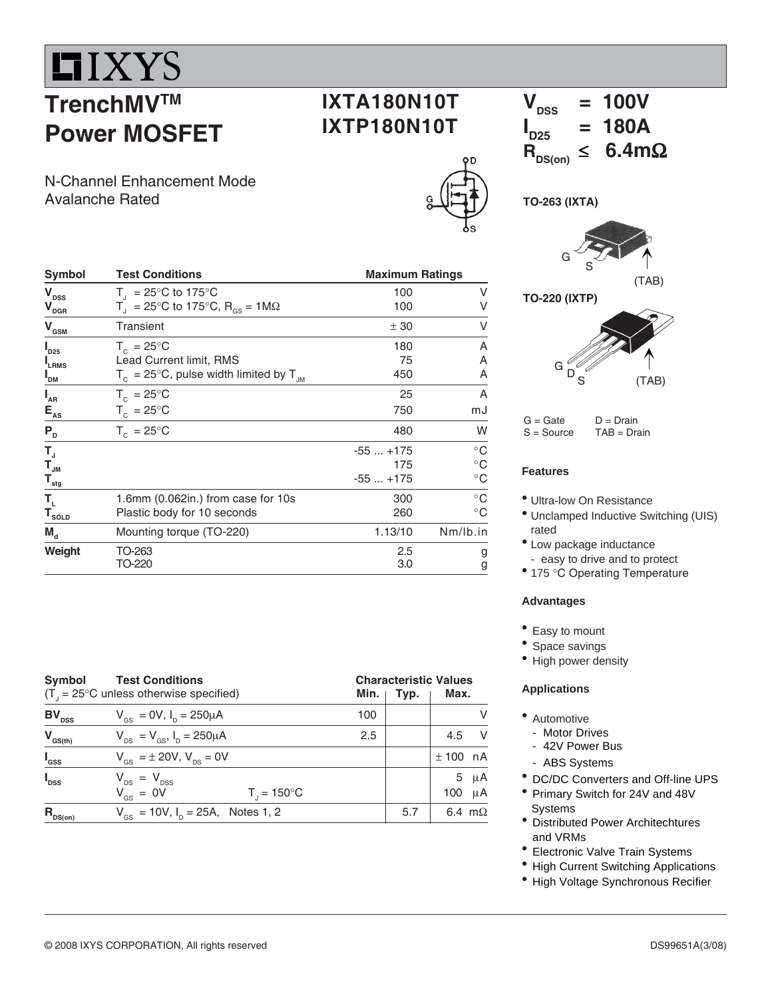

# **TrenchMVTM Power MOSFET**

N-Channel Enhancement Mode Avalanche Rated

| Symbol                                  | <b>Test Conditions</b>                                       | <b>Maximum Ratings</b> |              |  |  |
|-----------------------------------------|--------------------------------------------------------------|------------------------|--------------|--|--|
| $\mathbf{V}_{\mathrm{DSS}}$             | $T_{1}$ = 25°C to 175°C                                      | 100                    | V            |  |  |
| $\mathbf{V}_{\text{DGR}}$               | $T_1 = 25^{\circ}$ C to 175°C, R <sub>os</sub> = 1M $\Omega$ | 100                    | V            |  |  |
| $\mathbf{V}_{\text{GSM}}$               | Transient                                                    | ± 30                   | v            |  |  |
| $I_{D25}$                               | $T_c = 25^{\circ}$ C                                         | 180                    | Α            |  |  |
| <b>LRMS</b>                             | Lead Current limit, RMS                                      | 75                     | Α            |  |  |
| " <sub>DM</sub>                         | $T_c = 25^{\circ}$ C, pulse width limited by T <sub>JM</sub> | 450                    | A            |  |  |
| $I_{AR}$                                | $T_c = 25^{\circ}$ C                                         | 25                     | A            |  |  |
| $E_{AS}$                                | $T_c = 25^{\circ}C$                                          | 750                    | mJ           |  |  |
| $P_{D}$                                 | $T_c = 25^{\circ}$ C                                         | 480                    | W            |  |  |
| T,                                      |                                                              | $-55+175$              | $^{\circ}$ C |  |  |
| $\mathbf{T}_{_{\mathsf{JM}}}$           |                                                              | 175                    | $^{\circ}$ C |  |  |
| $\mathbf{T}_{\underline{\mathsf{stg}}}$ |                                                              | $-55+175$              | $^{\circ}$ C |  |  |
| Т,                                      | 1.6mm (0.062in.) from case for 10s                           | 300                    | $^{\circ}$ C |  |  |
| $T_{\underline{{\tt SOLD}}}$            | Plastic body for 10 seconds                                  | 260                    | $^{\circ}$ C |  |  |
| $M_{d}$                                 | Mounting torque (TO-220)                                     | 1.13/10                | Nm/lb.in     |  |  |
| Weight                                  | TO-263                                                       | 2.5                    | g            |  |  |
|                                         | TO-220                                                       | 3.0                    | g            |  |  |

| Symbol<br>$(T_{1} = 25^{\circ}C$ unless otherwise specified) | <b>Characteristic Values</b><br>Max.<br>Typ.                  |     |     |                      |
|--------------------------------------------------------------|---------------------------------------------------------------|-----|-----|----------------------|
| $BV_{DSS}$                                                   | $V_{\text{es}} = 0V$ , $I_{\text{p}} = 250 \mu A$             | 100 |     | V                    |
| $V_{GS(th)}$                                                 | $V_{DS} = V_{GS}$ , $I_{D} = 250 \mu A$                       | 2.5 |     | - V<br>4.5           |
| $I_{\rm dss}$                                                | $V_{\rm{gs}} = \pm 20 V, V_{\rm{ns}} = 0V$                    |     |     | $± 100$ nA           |
| $I_{\text{DSS}}$                                             | $V_{DS} = V_{DSS}$<br>$V_{GS} = 0V$<br>$T_{1} = 150^{\circ}C$ |     |     | μA<br>5<br>μA<br>100 |
| $R_{DS(on)}$                                                 | $V_{\text{gs}} = 10V$ , $I_{\text{p}} = 25A$ , Notes 1, 2     |     | 5.7 | 6.4 $m\Omega$        |



**IXTA180N10T**

**IXTP180N10T**

**TO-263 (IXTA)**



**TO-220 (IXTP)**



 $G =$  Gate  $D =$  Drain S = Source TAB = Drain

#### **Features**

• Ultra-low On Resistance

- Unclamped Inductive Switching (UIS) rated
- $\bullet$  Low package inductance - easy to drive and to protect
- 175 °C Operating Temperature

#### **Advantages**

• Easy to mount

- Space savings
- High power density

#### **Applications**

- Automotive
	- Motor Drives
	- 42V Power Bus
	- ABS Systems
- DC/DC Converters and Off-line UPS
- Primary Switch for 24V and 48V **Systems**
- Distributed Power Architechtures and VRMs
- Electronic Valve Train Systems
- High Current Switching Applications
- High Voltage Synchronous Recifier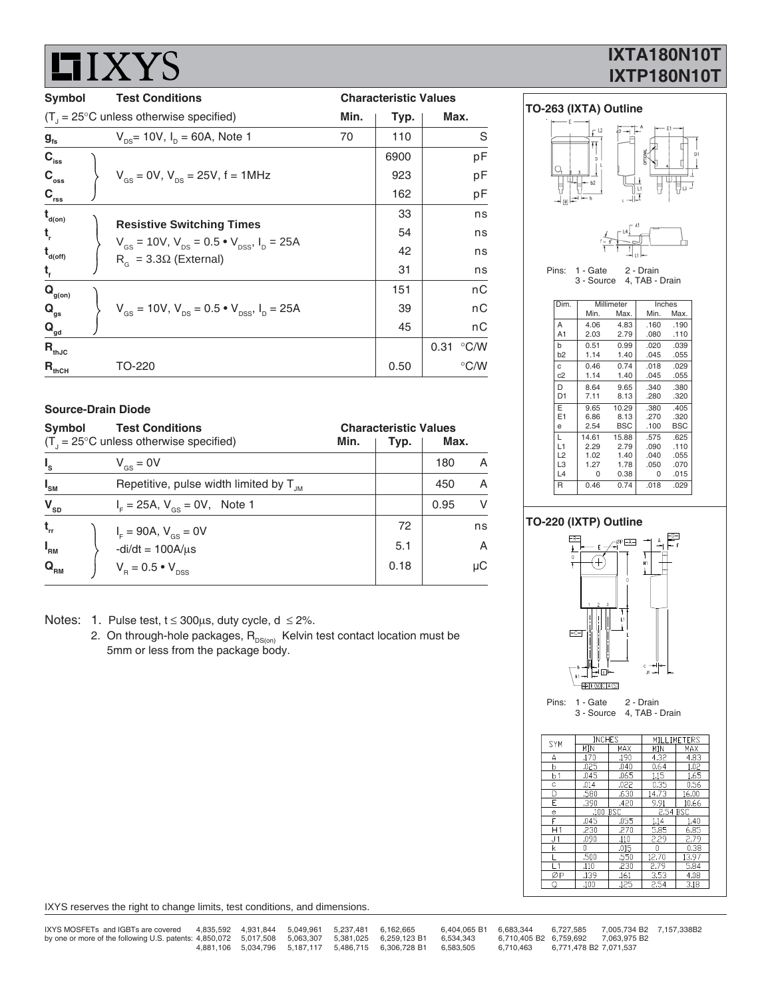|                             | 1 1 4 X X X I V                                                                                                               |                              |      |               |  |  |
|-----------------------------|-------------------------------------------------------------------------------------------------------------------------------|------------------------------|------|---------------|--|--|
| <b>Symbol</b>               | <b>Test Conditions</b>                                                                                                        | <b>Characteristic Values</b> |      |               |  |  |
|                             | $(T1 = 25^{\circ}C$ unless otherwise specified)                                                                               | Min.                         | Typ. | Max.          |  |  |
| $g_{\rm fs}$                | $V_{\text{ns}}$ = 10V, $I_{\text{ns}}$ = 60A, Note 1                                                                          | 70                           | 110  | S             |  |  |
| $C_{\rm iss}$               |                                                                                                                               |                              | 6900 | pF            |  |  |
| $C_{\rm{oss}}$              | $V_{\text{gs}} = 0V$ , $V_{\text{ps}} = 25V$ , f = 1MHz                                                                       |                              | 923  | pF            |  |  |
| $C_{\rm rss}$               |                                                                                                                               |                              | 162  | pF            |  |  |
| $t_{\text{\tiny d(0n)}}$    |                                                                                                                               |                              | 33   | ns            |  |  |
| t,                          | <b>Resistive Switching Times</b><br>$V_{\text{gs}} = 10V$ , $V_{\text{ps}} = 0.5 \cdot V_{\text{pss}}$ , $I_{\text{p}} = 25A$ |                              | 54   | ns            |  |  |
| $t_{\text{\tiny d(off)}}$   | $R_c = 3.3\Omega$ (External)                                                                                                  |                              | 42   | ns            |  |  |
| t,                          |                                                                                                                               |                              | 31   | ns            |  |  |
| $\mathbf{Q}_{\text{g(on)}}$ |                                                                                                                               |                              | 151  | nC            |  |  |
| $\mathbf{Q}_{gs}$           | $V_{\text{gs}} = 10V$ , $V_{\text{ps}} = 0.5 \cdot V_{\text{pss}}$ , $I_{\text{p}} = 25A$                                     |                              | 39   | nC            |  |  |
| $\mathbf{Q}_{\mathsf{gd}}$  |                                                                                                                               |                              | 45   | nС            |  |  |
| $R_{thJC}$                  |                                                                                                                               |                              |      | 0.31 °C/W     |  |  |
| $R_{thCH}$                  | TO-220                                                                                                                        |                              | 0.50 | $\degree$ C/W |  |  |

#### **Source-Drain Diode**

**HIYVS** 

I

| <b>Test Conditions</b><br>Symbol                                         | <b>Characteristic Values</b> |      |      |    |
|--------------------------------------------------------------------------|------------------------------|------|------|----|
| $(T_{1} = 25^{\circ}C$ unless otherwise specified)                       | Min.                         | Typ. | Max. |    |
| $I_{s}$<br>$V_{\text{gs}} = 0V$                                          |                              |      | 180  | A  |
| $I_{\rm SM}$<br>Repetitive, pulse width limited by $T_{\mu}$             |                              |      | 450  | A  |
| $\mathbf{V}_{\mathrm{SD}}$<br>$I_{\rm c} = 25A, V_{\rm cs} = 0V,$ Note 1 |                              |      | 0.95 | V  |
| $t_{rr}$<br>$I_{F} = 90A, V_{GS} = 0V$                                   |                              | 72   |      | ns |
| $I_{\rm RM}$<br>$-di/dt = 100A/\mu s$                                    |                              | 5.1  |      | A  |
| $\mathbf{Q}_{_{\mathsf{RM}}}$<br>$V_{\rm B} = 0.5 \cdot V_{\rm DSS}$     |                              | 0.18 |      | μC |

Notes: 1. Pulse test,  $t \le 300 \mu s$ , duty cycle,  $d \le 2\%$ .

2. On through-hole packages, R<sub>DS(on)</sub> Kelvin test contact location must be 5mm or less from the package body.

# **IXTA180N10T IXTP180N10T**



L 14.61 15.88 .575 .625 L1 2.29 2.79 .090 .110 L2 1.02 1.40 .040 .055<br>
L3 1.27 1.78 .050 .070<br>
L4 0 0.38 0 .015 L3 1.27 1.78 .050 .070 L4 0 0.38 0 .015 R 0.46 0.74 .018 .029

#### **TO-220 (IXTP) Outline**



|  | SYM            | INUHES   |      | MILLIME I ERS     |       |  |  |
|--|----------------|----------|------|-------------------|-------|--|--|
|  |                | MIN      | MAX  | MIN               | MAX   |  |  |
|  | Α              | .170     | .190 | 4.32              | 4.83  |  |  |
|  | þ              | .025     | .040 | 0.64              | 1.02  |  |  |
|  | b <sub>1</sub> | .045     | .065 | 1.15              | 1.65  |  |  |
|  | C              | .014     | .022 | 0.35 <sub>1</sub> | 0.56  |  |  |
|  | D              | .580     | .630 | 14.73             | 16.00 |  |  |
|  | E              | .390     | .420 | 9.91              | 10.66 |  |  |
|  | e              | .100 BSC |      | 2.54 BSC          |       |  |  |
|  | F              | .045     | .055 | 1.14              | 1.40  |  |  |
|  | H1             | .230     | .270 | 5.85              | 6.85  |  |  |
|  | J <sub>1</sub> | .090     | .110 | 2.29              | 2.79  |  |  |
|  | k              | 0        | .015 | 0                 | 0.38  |  |  |
|  |                | .500     | .550 | 12.70             | 13.97 |  |  |
|  | 1 <sub>1</sub> | .110     | .230 | 2.79              | 5.84  |  |  |
|  | ØР             | .139     | .161 | 3.53              | 4.08  |  |  |
|  | Q              | .100     | .125 | 2.54              | 3.18  |  |  |
|  |                |          |      |                   |       |  |  |

IXYS reserves the right to change limits, test conditions, and dimensions.

| IXYS MOSFETs and IGBTs are covered                                                                 |  | 4,835,592 4,931,844 5,049,961 5,237,481 6,162,665 |                                                           | 6.404.065 B1 | 6.683.344 | 6.727.585              | 7.005.734 B2 7.157.338B2            |  |
|----------------------------------------------------------------------------------------------------|--|---------------------------------------------------|-----------------------------------------------------------|--------------|-----------|------------------------|-------------------------------------|--|
| by one or more of the following U.S. patents: 4,850,072 5,017,508 5,063,307 5,381,025 6,259,123 B1 |  |                                                   |                                                           | 6.534.343    |           |                        | 6.710.405 B2 6.759.692 7.063.975 B2 |  |
|                                                                                                    |  |                                                   | 4.881.106  5.034.796  5.187.117  5.486.715  6.306.728  B1 | 6.583.505    | 6.710.463 | 6.771.478 B2 7.071.537 |                                     |  |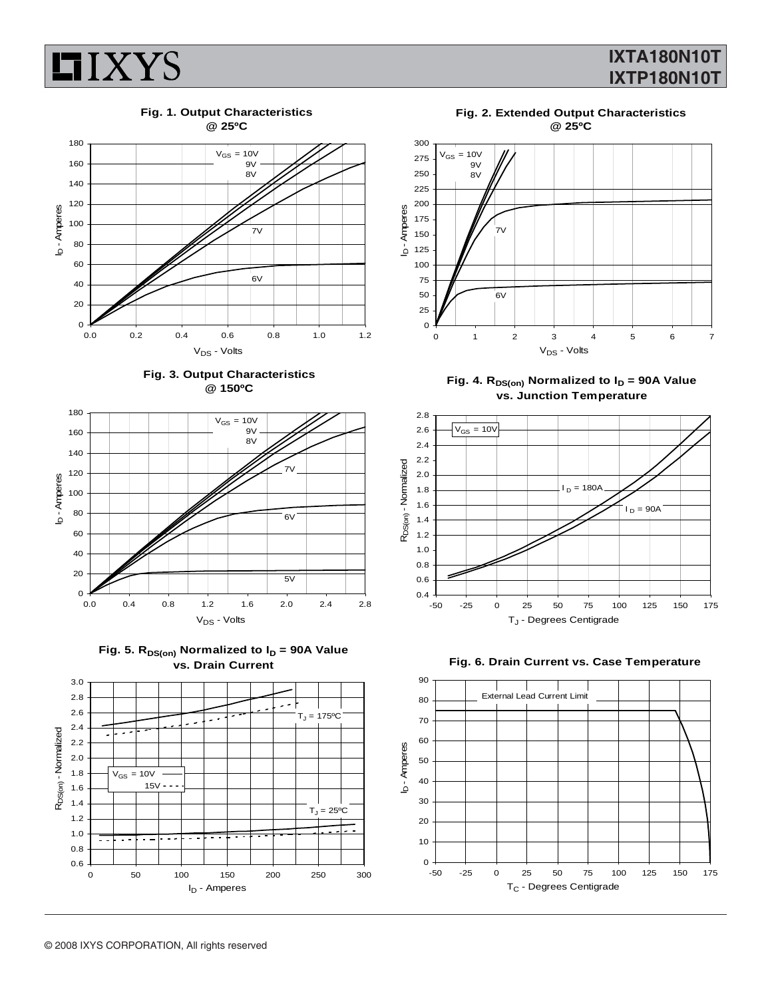

# **IXTA180N10T IXTP180N10T**

**Fig. 1. Output Characteristics**











**Fig. 2. Extended Output Characteristics @ 25ºC**



Fig. 4. R<sub>DS(on)</sub> Normalized to I<sub>D</sub> = 90A Value **vs. Junction Temperature**





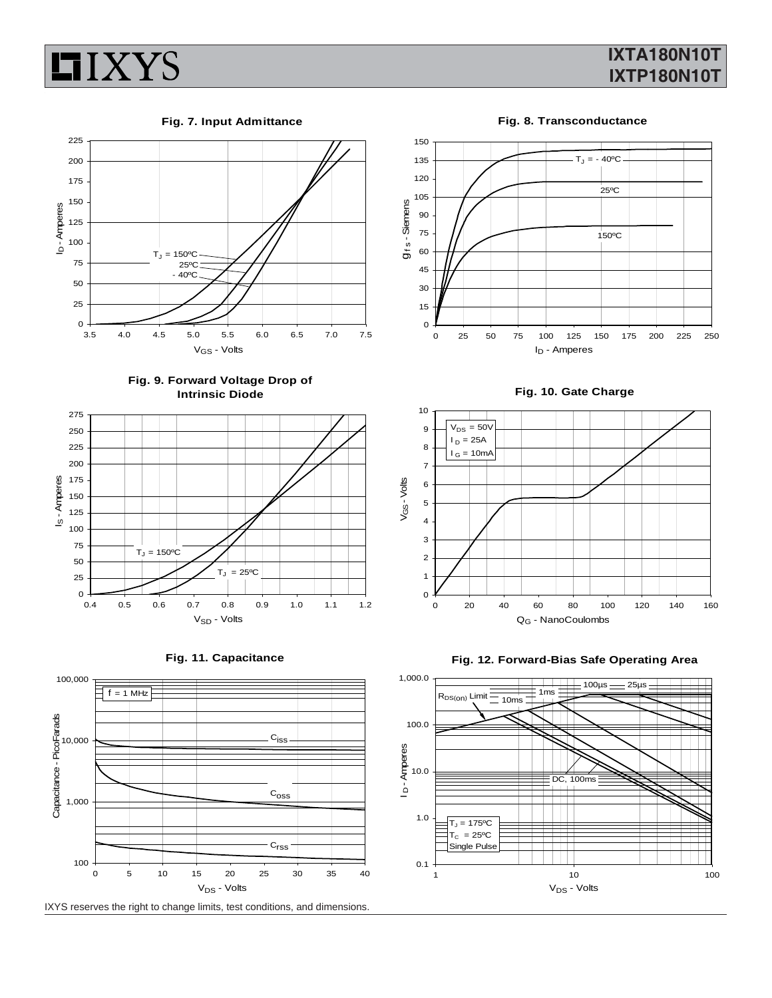

# **IXTA180N10T IXTP180N10T**

**Fig. 7. Input Admittance**



**Fig. 9. Forward Voltage Drop of Intrinsic Diode**







**Fig. 8. Transconductance**



**Fig. 10. Gate Charge**





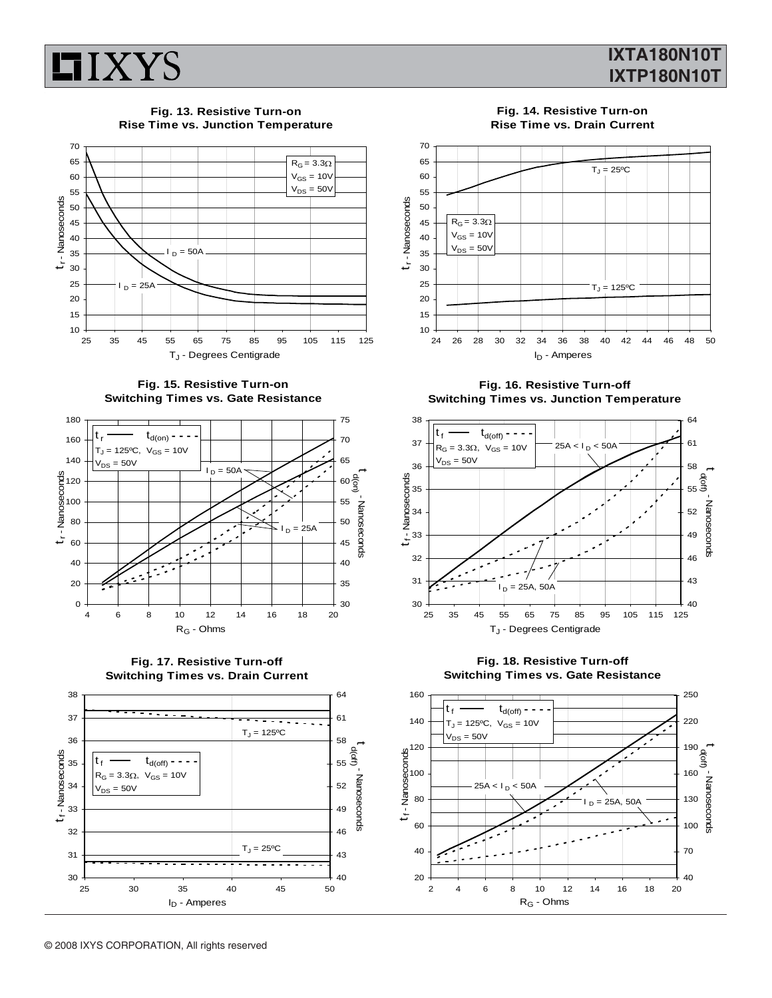

### **IXTA180N10T IXTP180N10T**

**Fig. 13. Resistive Turn-on Rise Time vs. Junction Temperature**



**Fig. 15. Resistive Turn-on Switching Times vs. Gate Resistance**







**Fig. 14. Resistive Turn-on Rise Time vs. Drain Current**



**Fig. 16. Resistive Turn-off Switching Times vs. Junction Temperature**



**Fig. 18. Resistive Turn-off Switching Times vs. Gate Resistance**